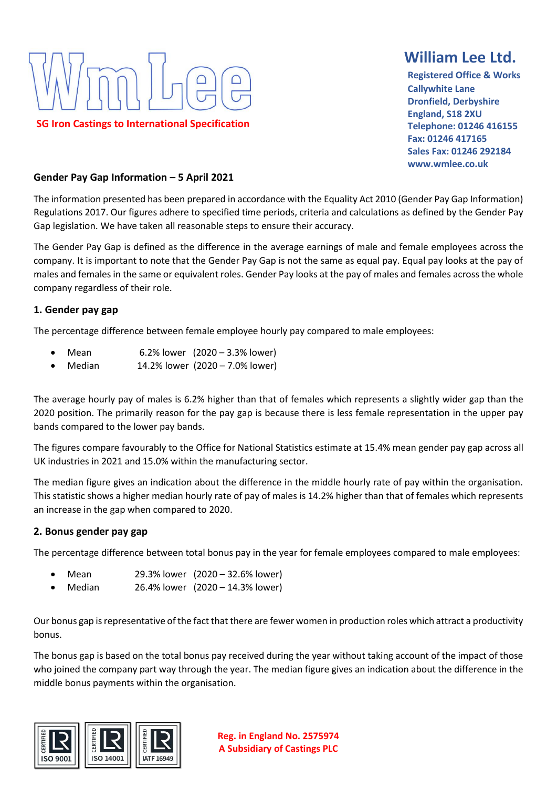

# **William Lee Ltd.**

 **Registered Office & Works Callywhite Lane Dronfield, Derbyshire England, S18 2XU Telephone: 01246 416155 Fax: 01246 417165 Sales Fax: 01246 292184 www.wmlee.co.uk**

#### **Gender Pay Gap Information – 5 April 2021**

The information presented has been prepared in accordance with the Equality Act 2010 (Gender Pay Gap Information) Regulations 2017. Our figures adhere to specified time periods, criteria and calculations as defined by the Gender Pay Gap legislation. We have taken all reasonable steps to ensure their accuracy.

The Gender Pay Gap is defined as the difference in the average earnings of male and female employees across the company. It is important to note that the Gender Pay Gap is not the same as equal pay. Equal pay looks at the pay of males and females in the same or equivalent roles. Gender Pay looks at the pay of males and females across the whole company regardless of their role.

#### **1. Gender pay gap**

The percentage difference between female employee hourly pay compared to male employees:

- Mean 6.2% lower (2020 3.3% lower)
- Median 14.2% lower (2020 7.0% lower)

The average hourly pay of males is 6.2% higher than that of females which represents a slightly wider gap than the 2020 position. The primarily reason for the pay gap is because there is less female representation in the upper pay bands compared to the lower pay bands.

The figures compare favourably to the Office for National Statistics estimate at 15.4% mean gender pay gap across all UK industries in 2021 and 15.0% within the manufacturing sector.

The median figure gives an indication about the difference in the middle hourly rate of pay within the organisation. This statistic shows a higher median hourly rate of pay of males is 14.2% higher than that of females which represents an increase in the gap when compared to 2020.

#### **2. Bonus gender pay gap**

The percentage difference between total bonus pay in the year for female employees compared to male employees:

- Mean 29.3% lower (2020 32.6% lower)
- Median 26.4% lower (2020 14.3% lower)

Our bonus gap is representative of the fact that there are fewer women in production roles which attract a productivity bonus.

The bonus gap is based on the total bonus pay received during the year without taking account of the impact of those who joined the company part way through the year. The median figure gives an indication about the difference in the middle bonus payments within the organisation.